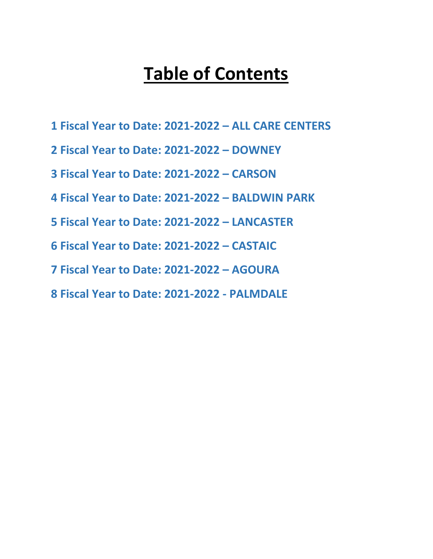## **Table of Contents**

- <span id="page-0-0"></span> **[Fiscal Year to Date: 2021-2022](#page-1-0) – ALL CARE CENTERS**
- **[Fiscal Year to Date: 2021-2022](#page-2-0) – DOWNEY**
- **[Fiscal Year to Date: 2021-2022](#page-3-0) – CARSON**
- **[Fiscal Year to Date: 2021-2022](#page-4-0) – BALDWIN PARK**
- **[Fiscal Year to Date: 2021-2022](#page-5-0) – LANCASTER**
- **[Fiscal Year to Date: 2021-2022](#page-6-0) – CASTAIC**
- **[Fiscal Year to Date: 2021-2022](#page-7-0) – AGOURA**
- **[Fiscal Year to Date: 2021-2022](#page-8-0) - PALMDALE**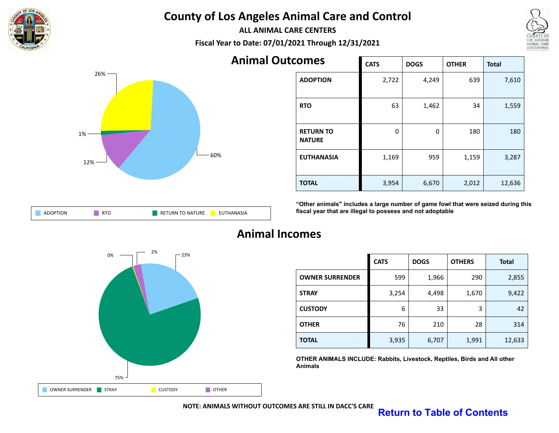<span id="page-1-0"></span>

**ALL ANIMAL CARE CENTERS**

**Fiscal Year to Date: 07/01/2021 Through 12/31/2021**



| comes                             | <b>CATS</b> | <b>DOGS</b> | <b>OTHER</b> | <b>Total</b> |
|-----------------------------------|-------------|-------------|--------------|--------------|
| <b>ADOPTION</b>                   | 2,722       | 4,249       | 639          | 7,610        |
| <b>RTO</b>                        | 63          | 1,462       | 34           | 1,559        |
| <b>RETURN TO</b><br><b>NATURE</b> | 0           | 0           | 180          | 180          |
| <b>EUTHANASIA</b>                 | 1,169       | 959         | 1,159        | 3,287        |
| <b>TOTAL</b>                      | 3,954       | 6,670       | 2,012        | 12,636       |

ANIMAL CARE AND CONTROI

| <b>RTO</b><br>ON<br>ADI | TURN TO NATURE<br>╲∟ | 'ANASIA |
|-------------------------|----------------------|---------|
|-------------------------|----------------------|---------|

**"Other animals" includes a large number of game fowl that were seized during this fiscal year that are illegal to possess and not adoptable**



#### **Animal Incomes**

|                        | <b>CATS</b> | <b>DOGS</b> | <b>OTHERS</b> | <b>Total</b> |
|------------------------|-------------|-------------|---------------|--------------|
| <b>OWNER SURRENDER</b> | 599         | 1,966       | 290           | 2,855        |
| <b>STRAY</b>           | 3,254       | 4,498       | 1,670         | 9,422        |
| <b>CUSTODY</b>         | 6           | 33          | 3             | 42           |
| <b>OTHER</b>           | 76          | 210         | 28            | 314          |
| <b>TOTAL</b>           | 3,935       | 6,707       | 1,991         | 12,633       |

**OTHER ANIMALS INCLUDE: Rabbits, Livestock, Reptiles, Birds and All other Animals**

**Animal Outo** 

**NOTE: ANIMALS WITHOUT OUTCOMES ARE STILL IN DACC'S CARE**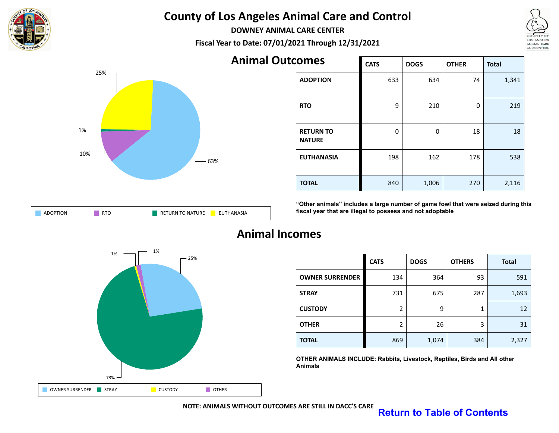<span id="page-2-0"></span>

**DOWNEY ANIMAL CARE CENTER**

**Fiscal Year to Date: 07/01/2021 Through 12/31/2021**



| comes                             | <b>CATS</b> | <b>DOGS</b> | <b>OTHER</b> | <b>Total</b> |
|-----------------------------------|-------------|-------------|--------------|--------------|
| <b>ADOPTION</b>                   | 633         | 634         | 74           | 1,341        |
| <b>RTO</b>                        | 9           | 210         | 0            | 219          |
| <b>RETURN TO</b><br><b>NATURE</b> | 0           | 0           | 18           | 18           |
| <b>EUTHANASIA</b>                 | 198         | 162         | 178          | 538          |
| <b>TOTAL</b>                      | 840         | 1,006       | 270          | 2,116        |

| DTC             | URN TO NATURE  |
|-----------------|----------------|
| <b>ADOPTION</b> | <b>IANASIA</b> |
| שופ             | RF             |

**"Other animals" includes a large number of game fowl that were seized during this fiscal year that are illegal to possess and not adoptable**



#### **Animal Incomes**

|                        | <b>CATS</b> | <b>DOGS</b> | <b>OTHERS</b> | <b>Total</b> |
|------------------------|-------------|-------------|---------------|--------------|
| <b>OWNER SURRENDER</b> | 134         | 364         | 93            | 591          |
| <b>STRAY</b>           | 731         | 675         | 287           | 1,693        |
| <b>CUSTODY</b>         | 2           | 9           |               | 12           |
| <b>OTHER</b>           | 2           | 26          | 3             | 31           |
| <b>TOTAL</b>           | 869         | 1,074       | 384           | 2,327        |

**OTHER ANIMALS INCLUDE: Rabbits, Livestock, Reptiles, Birds and All other Animals**

# ANIMAL CARE

AND CONTROI

**NOTE: ANIMALS WITHOUT OUTCOMES ARE STILL IN DACC'S CARE**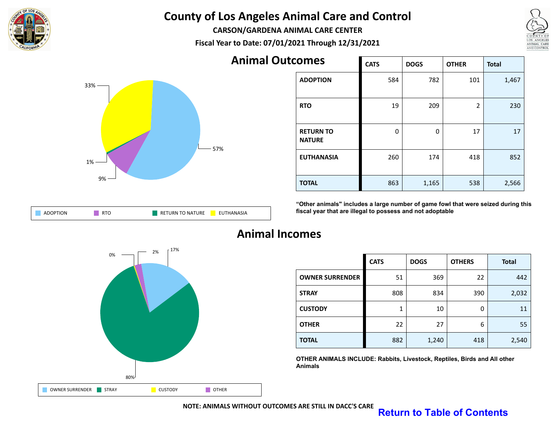<span id="page-3-0"></span>

**CARSON/GARDENA ANIMAL CARE CENTER**

**Fiscal Year to Date: 07/01/2021 Through 12/31/2021**



| <b>Animal Outcomes</b> |                                   | <b>CATS</b> | <b>DOGS</b> | <b>OTHER</b>   | <b>Total</b> |
|------------------------|-----------------------------------|-------------|-------------|----------------|--------------|
|                        | <b>ADOPTION</b>                   | 584         | 782         | 101            | 1,467        |
|                        | <b>RTO</b>                        | 19          | 209         | $\overline{2}$ | 230          |
|                        | <b>RETURN TO</b><br><b>NATURE</b> | 0           | 0           | 17             | 17           |
|                        | <b>EUTHANASIA</b>                 | 260         | 174         | 418            | 852          |
|                        | <b>TOTAL</b>                      | 863         | 1,165       | 538            | 2,566        |

ANIMAL CARE AND CONTROI

| าม<br>ADO' | <b>URE</b><br>ASIA<br>NAT<br>TΩ<br>IRN.<br>ᅚ<br>๛ |
|------------|---------------------------------------------------|
|------------|---------------------------------------------------|

**"Other animals" includes a large number of game fowl that were seized during this fiscal year that are illegal to possess and not adoptable**



#### **Animal Incomes**

|                        | <b>CATS</b> | <b>DOGS</b> | <b>OTHERS</b> | <b>Total</b> |
|------------------------|-------------|-------------|---------------|--------------|
| <b>OWNER SURRENDER</b> | 51          | 369         | 22            | 442          |
| <b>STRAY</b>           | 808         | 834         | 390           | 2,032        |
| <b>CUSTODY</b>         |             | 10          | 0             | 11           |
| <b>OTHER</b>           | 22          | 27          | 6             | 55           |
| <b>TOTAL</b>           | 882         | 1,240       | 418           | 2,540        |

**OTHER ANIMALS INCLUDE: Rabbits, Livestock, Reptiles, Birds and All other Animals**

**NOTE: ANIMALS WITHOUT OUTCOMES ARE STILL IN DACC'S CARE [Return to Table of Contents](#page-0-0)**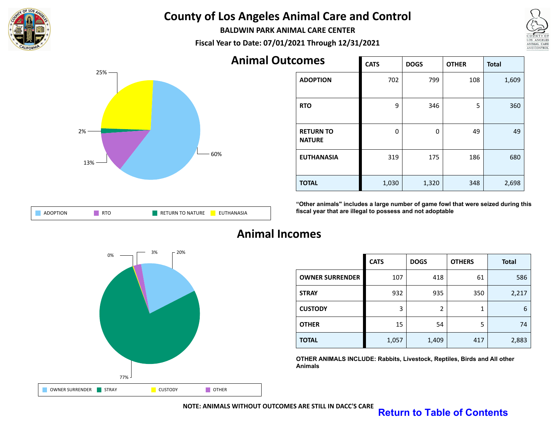<span id="page-4-0"></span>

**BALDWIN PARK ANIMAL CARE CENTER**

**Fiscal Year to Date: 07/01/2021 Through 12/31/2021**



| comes                             | <b>CATS</b> | <b>DOGS</b> | <b>OTHER</b> | <b>Total</b> |
|-----------------------------------|-------------|-------------|--------------|--------------|
| <b>ADOPTION</b>                   | 702         | 799         | 108          | 1,609        |
| <b>RTO</b>                        | 9           | 346         | 5            | 360          |
| <b>RETURN TO</b><br><b>NATURE</b> | 0           | 0           | 49           | 49           |
| <b>EUTHANASIA</b>                 | 319         | 175         | 186          | 680          |
| <b>TOTAL</b>                      | 1,030       | 1,320       | 348          | 2,698        |

| <b>DTC</b><br><b>ADOPTION</b><br><b>NIV</b> | <b>TO NATURE</b><br>IRN. | <b>HANASIA</b> |
|---------------------------------------------|--------------------------|----------------|
|---------------------------------------------|--------------------------|----------------|

**"Other animals" includes a large number of game fowl that were seized during this fiscal year that are illegal to possess and not adoptable**



#### **Animal Incomes**

|                        | <b>CATS</b> | <b>DOGS</b> | <b>OTHERS</b> | <b>Total</b> |
|------------------------|-------------|-------------|---------------|--------------|
| <b>OWNER SURRENDER</b> | 107         | 418         | 61            | 586          |
| <b>STRAY</b>           | 932         | 935         | 350           | 2,217        |
| <b>CUSTODY</b>         | 3           | 2           |               | 6            |
| <b>OTHER</b>           | 15          | 54          | 5             | 74           |
| <b>TOTAL</b>           | 1,057       | 1,409       | 417           | 2,883        |

**OTHER ANIMALS INCLUDE: Rabbits, Livestock, Reptiles, Birds and All other Animals**

ANIMAL CARE AND CONTROI

**NOTE: ANIMALS WITHOUT OUTCOMES ARE STILL IN DACC'S CARE**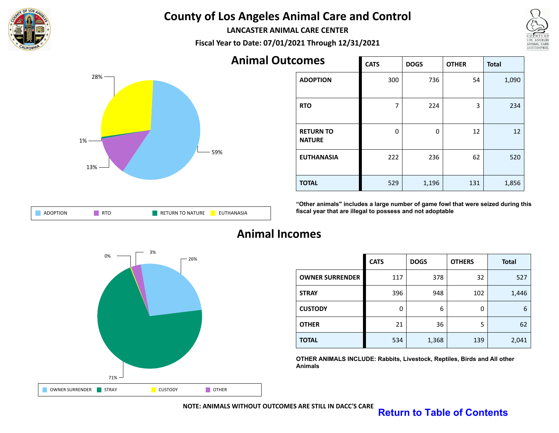<span id="page-5-0"></span>

**LANCASTER ANIMAL CARE CENTER**

**Fiscal Year to Date: 07/01/2021 Through 12/31/2021**



| comes                             | <b>CATS</b> | <b>DOGS</b> | <b>OTHER</b> | <b>Total</b> |
|-----------------------------------|-------------|-------------|--------------|--------------|
| <b>ADOPTION</b>                   | 300         | 736         | 54           | 1,090        |
| <b>RTO</b>                        | 7           | 224         | 3            | 234          |
| <b>RETURN TO</b><br><b>NATURE</b> | 0           | 0           | 12           | 12           |
| <b>EUTHANASIA</b>                 | 222         | 236         | 62           | 520          |
| <b>TOTAL</b>                      | 529         | 1,196       | 131          | 1,856        |

ANIMAL CARE AND CONTROI

| n <sub>T</sub><br>∵)PTION.<br>ושא | <b>NATURE</b><br>ANASIA<br>IRN.<br><b>KEIUKIV</b> |
|-----------------------------------|---------------------------------------------------|
|-----------------------------------|---------------------------------------------------|

**"Other animals" includes a large number of game fowl that were seized during this fiscal year that are illegal to possess and not adoptable**



#### **Animal Incomes**

|                        | <b>CATS</b> | <b>DOGS</b> | <b>OTHERS</b> | <b>Total</b> |
|------------------------|-------------|-------------|---------------|--------------|
| <b>OWNER SURRENDER</b> | 117         | 378         | 32            | 527          |
| <b>STRAY</b>           | 396         | 948         | 102           | 1,446        |
| <b>CUSTODY</b>         | 0           | 6           | 0             | 6            |
| <b>OTHER</b>           | 21          | 36          | 5             | 62           |
| <b>TOTAL</b>           | 534         | 1,368       | 139           | 2,041        |

**OTHER ANIMALS INCLUDE: Rabbits, Livestock, Reptiles, Birds and All other Animals**

**NOTE: ANIMALS WITHOUT OUTCOMES ARE STILL IN DACC'S CARE**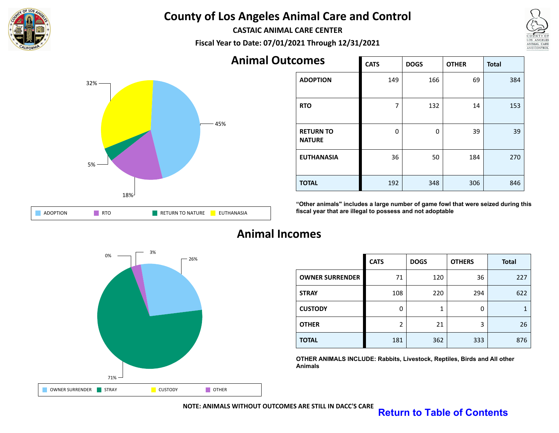<span id="page-6-0"></span>

**CASTAIC ANIMAL CARE CENTER**

**Fiscal Year to Date: 07/01/2021 Through 12/31/2021**



| comes                             | <b>CATS</b> | <b>DOGS</b> | <b>OTHER</b> | <b>Total</b> |
|-----------------------------------|-------------|-------------|--------------|--------------|
| <b>ADOPTION</b>                   | 149         | 166         | 69           | 384          |
| <b>RTO</b>                        | 7           | 132         | 14           | 153          |
| <b>RETURN TO</b><br><b>NATURE</b> | 0           | $\Omega$    | 39           | 39           |
| <b>EUTHANASIA</b>                 | 36          | 50          | 184          | 270          |
| <b>TOTAL</b>                      | 192         | 348         | 306          | 846          |

**"Other animals" includes a large number of game fowl that were seized during this fiscal year that are illegal to possess and not adoptable**



#### **Animal Incomes**

|                        | <b>CATS</b>    | <b>DOGS</b> | <b>OTHERS</b> | <b>Total</b> |
|------------------------|----------------|-------------|---------------|--------------|
| <b>OWNER SURRENDER</b> | 71             | 120         | 36            | 227          |
| <b>STRAY</b>           | 108            | 220         | 294           | 622          |
| <b>CUSTODY</b>         | 0              | 1           | O             |              |
| <b>OTHER</b>           | $\overline{2}$ | 21          | 3             | 26           |
| <b>TOTAL</b>           | 181            | 362         | 333           | 876          |

**OTHER ANIMALS INCLUDE: Rabbits, Livestock, Reptiles, Birds and All other Animals**

#### **NOTE: ANIMALS WITHOUT OUTCOMES ARE STILL IN DACC'S CARE**

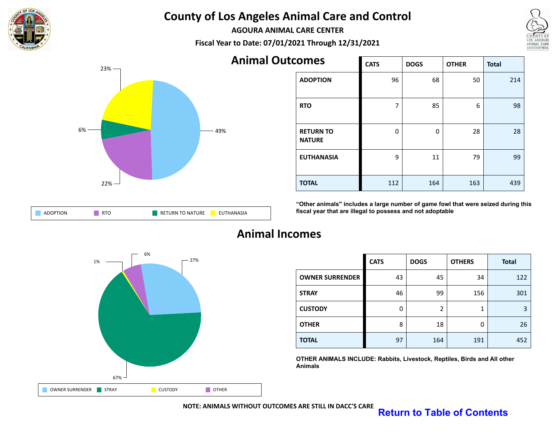<span id="page-7-0"></span>

**AGOURA ANIMAL CARE CENTER**

**Fiscal Year to Date: 07/01/2021 Through 12/31/2021**



| comes                             | <b>CATS</b> | <b>DOGS</b> | <b>OTHER</b> | <b>Total</b> |
|-----------------------------------|-------------|-------------|--------------|--------------|
| <b>ADOPTION</b>                   | 96          | 68          | 50           | 214          |
| <b>RTO</b>                        | 7           | 85          | 6            | 98           |
| <b>RETURN TO</b><br><b>NATURE</b> | 0           | $\Omega$    | 28           | 28           |
| <b>EUTHANASIA</b>                 | 9           | 11          | 79           | 99           |
| <b>TOTAL</b>                      | 112         | 164         | 163          | 439          |

| <b>TO NATURE</b><br>SIA<br>٦N<br>IRN.<br>℩∟<br>טורו<br>nvv |
|------------------------------------------------------------|
|------------------------------------------------------------|

**"Other animals" includes a large number of game fowl that were seized during this fiscal year that are illegal to possess and not adoptable**



#### **Animal Incomes**

|                        | <b>CATS</b> | <b>DOGS</b> | <b>OTHERS</b> | <b>Total</b> |
|------------------------|-------------|-------------|---------------|--------------|
| <b>OWNER SURRENDER</b> | 43          | 45          | 34            | 122          |
| <b>STRAY</b>           | 46          | 99          | 156           | 301          |
| <b>CUSTODY</b>         | 0           | 2           |               | 3            |
| <b>OTHER</b>           | 8           | 18          | 0             | 26           |
| <b>TOTAL</b>           | 97          | 164         | 191           | 452          |

**OTHER ANIMALS INCLUDE: Rabbits, Livestock, Reptiles, Birds and All other Animals**

ANIMAL CARE AND CONTROI

**NOTE: ANIMALS WITHOUT OUTCOMES ARE STILL IN DACC'S CARE**